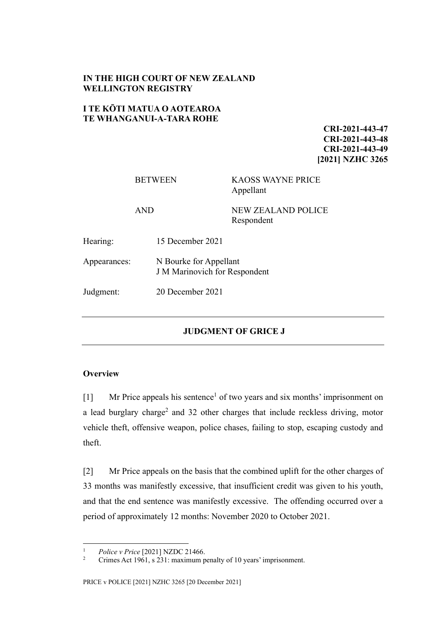## **IN THE HIGH COURT OF NEW ZEALAND WELLINGTON REGISTRY**

## **I TE KŌTI MATUA O AOTEAROA TE WHANGANUI-A-TARA ROHE**

**CRI-2021-443-47 CRI-2021-443-48 CRI-2021-443-49 [2021] NZHC 3265**

|              | <b>BETWEEN</b>                                                 | <b>KAOSS WAYNE PRICE</b><br>Appellant   |
|--------------|----------------------------------------------------------------|-----------------------------------------|
|              | <b>AND</b>                                                     | <b>NEW ZEALAND POLICE</b><br>Respondent |
| Hearing:     | 15 December 2021                                               |                                         |
| Appearances: | N Bourke for Appellant<br><b>J</b> M Marinovich for Respondent |                                         |
| Judgment:    | 20 December 2021                                               |                                         |
|              |                                                                |                                         |

# **JUDGMENT OF GRICE J**

### **Overview**

 $[1]$  Mr Price appeals his sentence<sup>1</sup> of two years and six months' imprisonment on a lead burglary charge<sup>2</sup> and 32 other charges that include reckless driving, motor vehicle theft, offensive weapon, police chases, failing to stop, escaping custody and theft.

[2] Mr Price appeals on the basis that the combined uplift for the other charges of 33 months was manifestly excessive, that insufficient credit was given to his youth, and that the end sentence was manifestly excessive. The offending occurred over a period of approximately 12 months: November 2020 to October 2021.

<sup>&</sup>lt;sup>1</sup> *Police v Price* [2021] NZDC 21466.

Crimes Act 1961, s 231: maximum penalty of 10 years' imprisonment.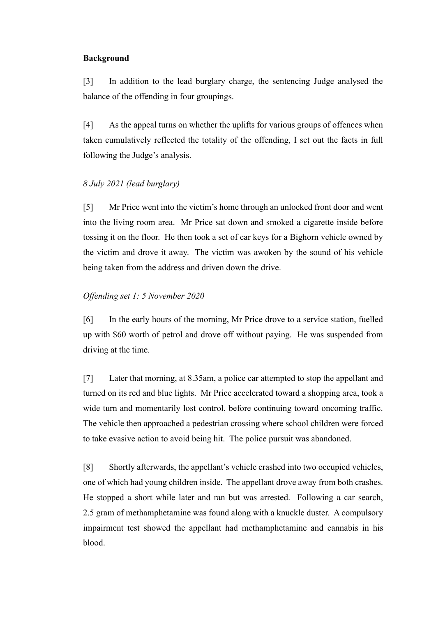### **Background**

[3] In addition to the lead burglary charge, the sentencing Judge analysed the balance of the offending in four groupings.

[4] As the appeal turns on whether the uplifts for various groups of offences when taken cumulatively reflected the totality of the offending, I set out the facts in full following the Judge's analysis.

# *8 July 2021 (lead burglary)*

[5] Mr Price went into the victim's home through an unlocked front door and went into the living room area. Mr Price sat down and smoked a cigarette inside before tossing it on the floor. He then took a set of car keys for a Bighorn vehicle owned by the victim and drove it away. The victim was awoken by the sound of his vehicle being taken from the address and driven down the drive.

## *Offending set 1: 5 November 2020*

[6] In the early hours of the morning, Mr Price drove to a service station, fuelled up with \$60 worth of petrol and drove off without paying. He was suspended from driving at the time.

[7] Later that morning, at 8.35am, a police car attempted to stop the appellant and turned on its red and blue lights. Mr Price accelerated toward a shopping area, took a wide turn and momentarily lost control, before continuing toward oncoming traffic. The vehicle then approached a pedestrian crossing where school children were forced to take evasive action to avoid being hit. The police pursuit was abandoned.

[8] Shortly afterwards, the appellant's vehicle crashed into two occupied vehicles, one of which had young children inside. The appellant drove away from both crashes. He stopped a short while later and ran but was arrested. Following a car search, 2.5 gram of methamphetamine was found along with a knuckle duster. A compulsory impairment test showed the appellant had methamphetamine and cannabis in his blood.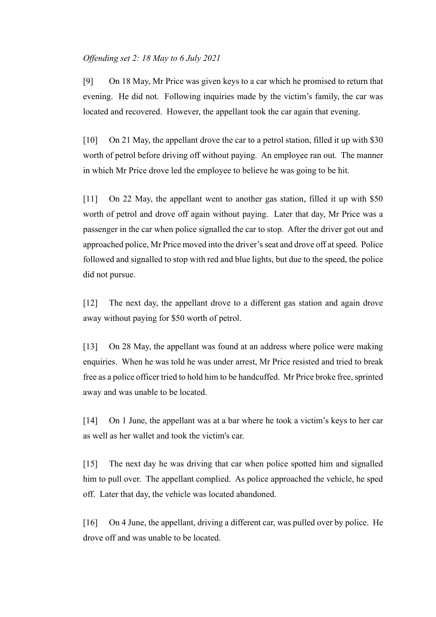#### *Offending set 2: 18 May to 6 July 2021*

[9] On 18 May, Mr Price was given keys to a car which he promised to return that evening. He did not. Following inquiries made by the victim's family, the car was located and recovered. However, the appellant took the car again that evening.

[10] On 21 May, the appellant drove the car to a petrol station, filled it up with \$30 worth of petrol before driving off without paying. An employee ran out. The manner in which Mr Price drove led the employee to believe he was going to be hit.

[11] On 22 May, the appellant went to another gas station, filled it up with \$50 worth of petrol and drove off again without paying. Later that day, Mr Price was a passenger in the car when police signalled the car to stop. After the driver got out and approached police, Mr Price moved into the driver's seat and drove off at speed. Police followed and signalled to stop with red and blue lights, but due to the speed, the police did not pursue.

[12] The next day, the appellant drove to a different gas station and again drove away without paying for \$50 worth of petrol.

[13] On 28 May, the appellant was found at an address where police were making enquiries. When he was told he was under arrest, Mr Price resisted and tried to break free as a police officer tried to hold him to be handcuffed. Mr Price broke free, sprinted away and was unable to be located.

[14] On 1 June, the appellant was at a bar where he took a victim's keys to her car as well as her wallet and took the victim's car.

[15] The next day he was driving that car when police spotted him and signalled him to pull over. The appellant complied. As police approached the vehicle, he sped off. Later that day, the vehicle was located abandoned.

[16] On 4 June, the appellant, driving a different car, was pulled over by police. He drove off and was unable to be located.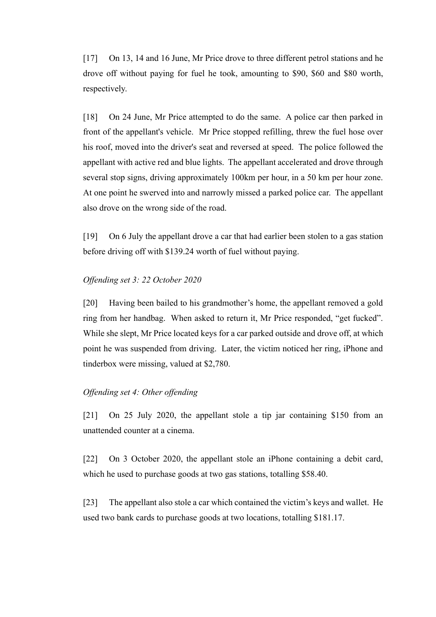[17] On 13, 14 and 16 June, Mr Price drove to three different petrol stations and he drove off without paying for fuel he took, amounting to \$90, \$60 and \$80 worth, respectively.

[18] On 24 June, Mr Price attempted to do the same. A police car then parked in front of the appellant's vehicle. Mr Price stopped refilling, threw the fuel hose over his roof, moved into the driver's seat and reversed at speed. The police followed the appellant with active red and blue lights. The appellant accelerated and drove through several stop signs, driving approximately 100km per hour, in a 50 km per hour zone. At one point he swerved into and narrowly missed a parked police car. The appellant also drove on the wrong side of the road.

[19] On 6 July the appellant drove a car that had earlier been stolen to a gas station before driving off with \$139.24 worth of fuel without paying.

#### *Offending set 3: 22 October 2020*

[20] Having been bailed to his grandmother's home, the appellant removed a gold ring from her handbag. When asked to return it, Mr Price responded, "get fucked". While she slept, Mr Price located keys for a car parked outside and drove off, at which point he was suspended from driving. Later, the victim noticed her ring, iPhone and tinderbox were missing, valued at \$2,780.

#### *Offending set 4: Other offending*

[21] On 25 July 2020, the appellant stole a tip jar containing \$150 from an unattended counter at a cinema.

[22] On 3 October 2020, the appellant stole an iPhone containing a debit card, which he used to purchase goods at two gas stations, totalling \$58.40.

[23] The appellant also stole a car which contained the victim's keys and wallet. He used two bank cards to purchase goods at two locations, totalling \$181.17.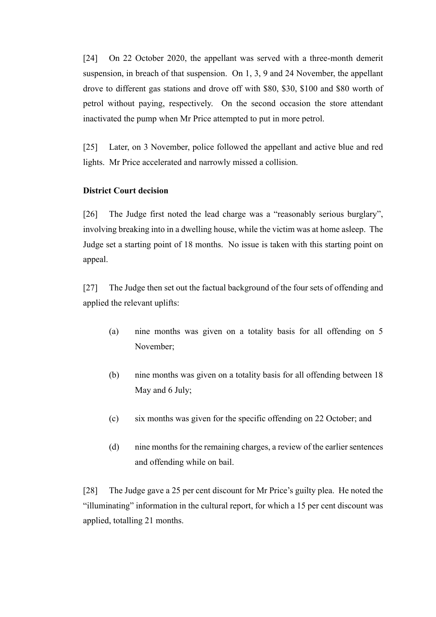[24] On 22 October 2020, the appellant was served with a three-month demerit suspension, in breach of that suspension. On 1, 3, 9 and 24 November, the appellant drove to different gas stations and drove off with \$80, \$30, \$100 and \$80 worth of petrol without paying, respectively. On the second occasion the store attendant inactivated the pump when Mr Price attempted to put in more petrol.

[25] Later, on 3 November, police followed the appellant and active blue and red lights. Mr Price accelerated and narrowly missed a collision.

# **District Court decision**

[26] The Judge first noted the lead charge was a "reasonably serious burglary", involving breaking into in a dwelling house, while the victim was at home asleep. The Judge set a starting point of 18 months. No issue is taken with this starting point on appeal.

[27] The Judge then set out the factual background of the four sets of offending and applied the relevant uplifts:

- (a) nine months was given on a totality basis for all offending on 5 November;
- (b) nine months was given on a totality basis for all offending between 18 May and 6 July;
- (c) six months was given for the specific offending on 22 October; and
- (d) nine months for the remaining charges, a review of the earlier sentences and offending while on bail.

[28] The Judge gave a 25 per cent discount for Mr Price's guilty plea. He noted the "illuminating" information in the cultural report, for which a 15 per cent discount was applied, totalling 21 months.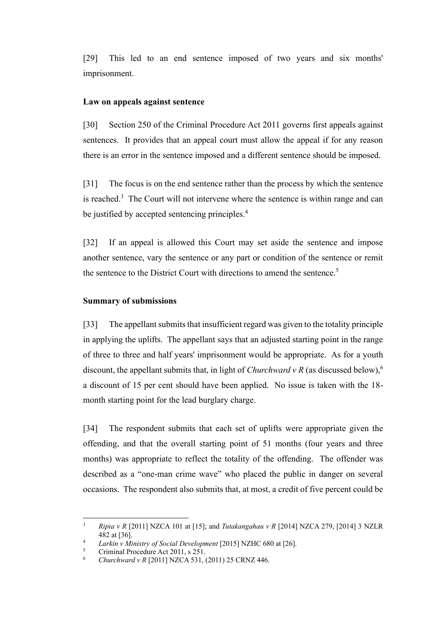[29] This led to an end sentence imposed of two years and six months' imprisonment.

#### **Law on appeals against sentence**

[30] Section 250 of the Criminal Procedure Act 2011 governs first appeals against sentences. It provides that an appeal court must allow the appeal if for any reason there is an error in the sentence imposed and a different sentence should be imposed.

[31] The focus is on the end sentence rather than the process by which the sentence is reached. $3$  The Court will not intervene where the sentence is within range and can be justified by accepted sentencing principles.<sup>4</sup>

[32] If an appeal is allowed this Court may set aside the sentence and impose another sentence, vary the sentence or any part or condition of the sentence or remit the sentence to the District Court with directions to amend the sentence.<sup>5</sup>

#### **Summary of submissions**

[33] The appellant submits that insufficient regard was given to the totality principle in applying the uplifts. The appellant says that an adjusted starting point in the range of three to three and half years' imprisonment would be appropriate. As for a youth discount, the appellant submits that, in light of *Churchward v R* (as discussed below),<sup>6</sup> a discount of 15 per cent should have been applied. No issue is taken with the 18 month starting point for the lead burglary charge.

[34] The respondent submits that each set of uplifts were appropriate given the offending, and that the overall starting point of 51 months (four years and three months) was appropriate to reflect the totality of the offending. The offender was described as a "one-man crime wave" who placed the public in danger on several occasions. The respondent also submits that, at most, a credit of five percent could be

<sup>3</sup> *Ripia v R* [2011] NZCA 101 at [15]; and *Tutakangahau v R* [2014] NZCA 279, [2014] 3 NZLR 482 at [36].

<sup>4</sup> *Larkin v Ministry of Social Development* [2015] NZHC 680 at [26].

<sup>5</sup> Criminal Procedure Act 2011, s 251.

<sup>6</sup> *Churchward v R* [2011] NZCA 531, (2011) 25 CRNZ 446.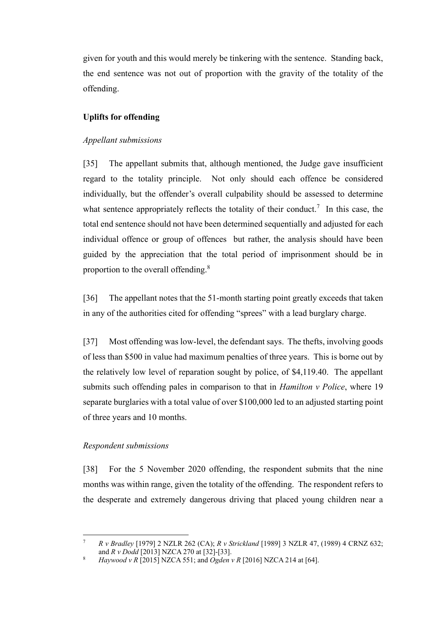given for youth and this would merely be tinkering with the sentence. Standing back, the end sentence was not out of proportion with the gravity of the totality of the offending.

## **Uplifts for offending**

## *Appellant submissions*

[35] The appellant submits that, although mentioned, the Judge gave insufficient regard to the totality principle. Not only should each offence be considered individually, but the offender's overall culpability should be assessed to determine what sentence appropriately reflects the totality of their conduct.<sup>7</sup> In this case, the total end sentence should not have been determined sequentially and adjusted for each individual offence or group of offences but rather, the analysis should have been guided by the appreciation that the total period of imprisonment should be in proportion to the overall offending.<sup>8</sup>

[36] The appellant notes that the 51-month starting point greatly exceeds that taken in any of the authorities cited for offending "sprees" with a lead burglary charge.

[37] Most offending was low-level, the defendant says. The thefts, involving goods of less than \$500 in value had maximum penalties of three years. This is borne out by the relatively low level of reparation sought by police, of \$4,119.40. The appellant submits such offending pales in comparison to that in *Hamilton v Police*, where 19 separate burglaries with a total value of over \$100,000 led to an adjusted starting point of three years and 10 months.

### *Respondent submissions*

[38] For the 5 November 2020 offending, the respondent submits that the nine months was within range, given the totality of the offending. The respondent refers to the desperate and extremely dangerous driving that placed young children near a

<sup>7</sup> *R v Bradley* [1979] 2 NZLR 262 (CA); *R v Strickland* [1989] 3 NZLR 47, (1989) 4 CRNZ 632; and *R v Dodd* [2013] NZCA 270 at [32]-[33].

<sup>8</sup> *Haywood v R* [2015] NZCA 551; and *Ogden v R* [2016] NZCA 214 at [64].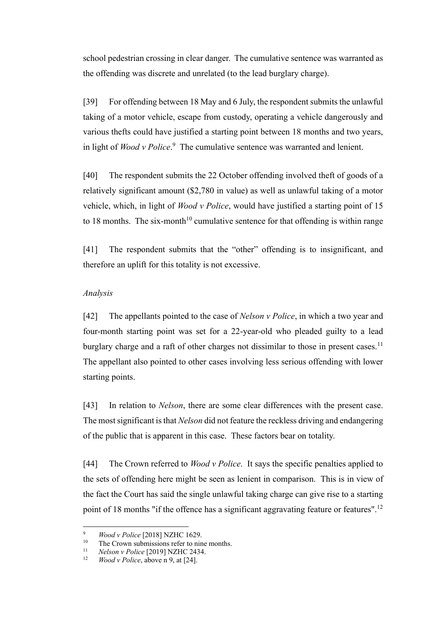school pedestrian crossing in clear danger. The cumulative sentence was warranted as the offending was discrete and unrelated (to the lead burglary charge).

[39] For offending between 18 May and 6 July, the respondent submits the unlawful taking of a motor vehicle, escape from custody, operating a vehicle dangerously and various thefts could have justified a starting point between 18 months and two years, in light of *Wood v Police*. 9 The cumulative sentence was warranted and lenient.

<span id="page-7-0"></span>[40] The respondent submits the 22 October offending involved theft of goods of a relatively significant amount (\$2,780 in value) as well as unlawful taking of a motor vehicle, which, in light of *Wood v Police*, would have justified a starting point of 15 to 18 months. The six-month<sup>10</sup> cumulative sentence for that offending is within range

[41] The respondent submits that the "other" offending is to insignificant, and therefore an uplift for this totality is not excessive.

#### *Analysis*

[42] The appellants pointed to the case of *Nelson v Police*, in which a two year and four-month starting point was set for a 22-year-old who pleaded guilty to a lead burglary charge and a raft of other charges not dissimilar to those in present cases.<sup>11</sup> The appellant also pointed to other cases involving less serious offending with lower starting points.

[43] In relation to *Nelson*, there are some clear differences with the present case. The most significant is that *Nelson* did not feature the reckless driving and endangering of the public that is apparent in this case. These factors bear on totality.

[44] The Crown referred to *Wood v Police*. It says the specific penalties applied to the sets of offending here might be seen as lenient in comparison. This is in view of the fact the Court has said the single unlawful taking charge can give rise to a starting point of 18 months "if the offence has a significant aggravating feature or features".<sup>12</sup>

<sup>&</sup>lt;sup>9</sup> *Wood v Police* [2018] NZHC 1629.

<sup>&</sup>lt;sup>10</sup> The Crown submissions refer to nine months.<br><sup>11</sup> Nelson v Police [2010] NZHC 2434

<sup>11</sup> *Nelson v Police* [2019] NZHC 2434.

*Wood v Police*, above n [9,](#page-7-0) at [24].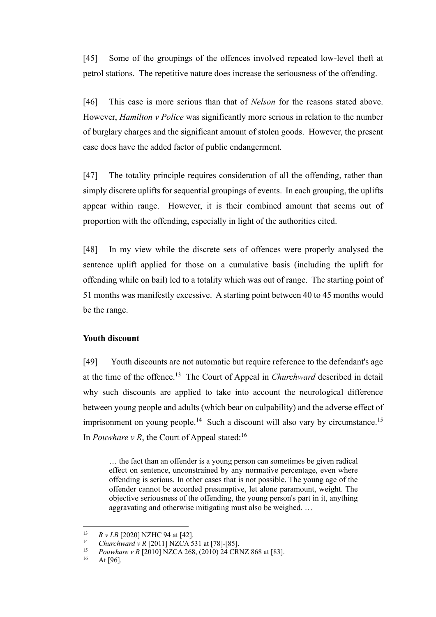[45] Some of the groupings of the offences involved repeated low-level theft at petrol stations. The repetitive nature does increase the seriousness of the offending.

[46] This case is more serious than that of *Nelson* for the reasons stated above. However, *Hamilton v Police* was significantly more serious in relation to the number of burglary charges and the significant amount of stolen goods. However, the present case does have the added factor of public endangerment.

[47] The totality principle requires consideration of all the offending, rather than simply discrete uplifts for sequential groupings of events. In each grouping, the uplifts appear within range. However, it is their combined amount that seems out of proportion with the offending, especially in light of the authorities cited.

[48] In my view while the discrete sets of offences were properly analysed the sentence uplift applied for those on a cumulative basis (including the uplift for offending while on bail) led to a totality which was out of range. The starting point of 51 months was manifestly excessive. A starting point between 40 to 45 months would be the range.

#### **Youth discount**

[49] Youth discounts are not automatic but require reference to the defendant's age at the time of the offence.<sup>13</sup> The Court of Appeal in *Churchward* described in detail why such discounts are applied to take into account the neurological difference between young people and adults (which bear on culpability) and the adverse effect of imprisonment on young people.<sup>14</sup> Such a discount will also vary by circumstance.<sup>15</sup> In *Pouwhare v R*, the Court of Appeal stated:<sup>16</sup>

… the fact than an offender is a young person can sometimes be given radical effect on sentence, unconstrained by any normative percentage, even where offending is serious. In other cases that is not possible. The young age of the offender cannot be accorded presumptive, let alone paramount, weight. The objective seriousness of the offending, the young person's part in it, anything aggravating and otherwise mitigating must also be weighed. …

<sup>&</sup>lt;sup>13</sup> *R v LB* [2020] NZHC 94 at [42].

<sup>&</sup>lt;sup>14</sup> *Churchward v R* [2011] NZCA 531 at [78]-[85].<br><sup>15</sup> Pounthara v P [2010] NZCA 268 (2010) 24 CP]

<sup>&</sup>lt;sup>15</sup> *Pouwhare v R* [2010] NZCA 268, (2010) 24 CRNZ 868 at [83].<br><sup>16</sup> At [96]

At [96].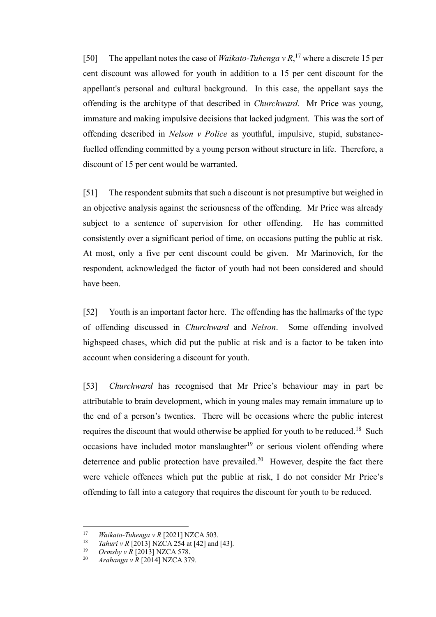[50] The appellant notes the case of *Waikato-Tuhenga v R*, <sup>17</sup> where a discrete 15 per cent discount was allowed for youth in addition to a 15 per cent discount for the appellant's personal and cultural background. In this case, the appellant says the offending is the architype of that described in *Churchward.* Mr Price was young, immature and making impulsive decisions that lacked judgment. This was the sort of offending described in *Nelson v Police* as youthful, impulsive, stupid, substancefuelled offending committed by a young person without structure in life. Therefore, a discount of 15 per cent would be warranted.

[51] The respondent submits that such a discount is not presumptive but weighed in an objective analysis against the seriousness of the offending. Mr Price was already subject to a sentence of supervision for other offending. He has committed consistently over a significant period of time, on occasions putting the public at risk. At most, only a five per cent discount could be given. Mr Marinovich, for the respondent, acknowledged the factor of youth had not been considered and should have been.

[52] Youth is an important factor here. The offending has the hallmarks of the type of offending discussed in *Churchward* and *Nelson*. Some offending involved highspeed chases, which did put the public at risk and is a factor to be taken into account when considering a discount for youth.

[53] *Churchward* has recognised that Mr Price's behaviour may in part be attributable to brain development, which in young males may remain immature up to the end of a person's twenties. There will be occasions where the public interest requires the discount that would otherwise be applied for youth to be reduced.<sup>18</sup> Such occasions have included motor manslaughter<sup>19</sup> or serious violent offending where deterrence and public protection have prevailed.<sup>20</sup> However, despite the fact there were vehicle offences which put the public at risk, I do not consider Mr Price's offending to fall into a category that requires the discount for youth to be reduced.

<sup>17</sup> *Waikato-Tuhenga v R* [2021] NZCA 503.

<sup>&</sup>lt;sup>18</sup> *Tahuri v R* [2013] NZCA 254 at [42] and [43].

<sup>&</sup>lt;sup>19</sup> *Ormsby v R* [2013] NZCA 578.<br><sup>20</sup> *Arghanga v R* [2014] NZCA 37

<sup>20</sup> *Arahanga v R* [2014] NZCA 379.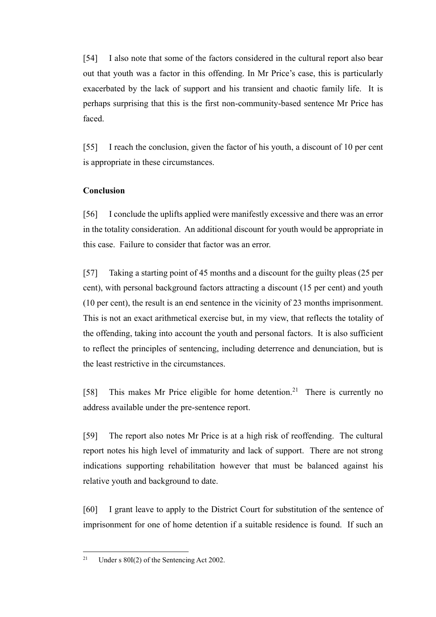[54] I also note that some of the factors considered in the cultural report also bear out that youth was a factor in this offending. In Mr Price's case, this is particularly exacerbated by the lack of support and his transient and chaotic family life. It is perhaps surprising that this is the first non-community-based sentence Mr Price has faced.

[55] I reach the conclusion, given the factor of his youth, a discount of 10 per cent is appropriate in these circumstances.

## **Conclusion**

[56] I conclude the uplifts applied were manifestly excessive and there was an error in the totality consideration. An additional discount for youth would be appropriate in this case. Failure to consider that factor was an error.

[57] Taking a starting point of 45 months and a discount for the guilty pleas (25 per cent), with personal background factors attracting a discount (15 per cent) and youth (10 per cent), the result is an end sentence in the vicinity of 23 months imprisonment. This is not an exact arithmetical exercise but, in my view, that reflects the totality of the offending, taking into account the youth and personal factors. It is also sufficient to reflect the principles of sentencing, including deterrence and denunciation, but is the least restrictive in the circumstances.

[58] This makes Mr Price eligible for home detention.<sup>21</sup> There is currently no address available under the pre-sentence report.

[59] The report also notes Mr Price is at a high risk of reoffending. The cultural report notes his high level of immaturity and lack of support. There are not strong indications supporting rehabilitation however that must be balanced against his relative youth and background to date.

[60] I grant leave to apply to the District Court for substitution of the sentence of imprisonment for one of home detention if a suitable residence is found. If such an

<sup>&</sup>lt;sup>21</sup> Under s  $80I(2)$  of the Sentencing Act 2002.